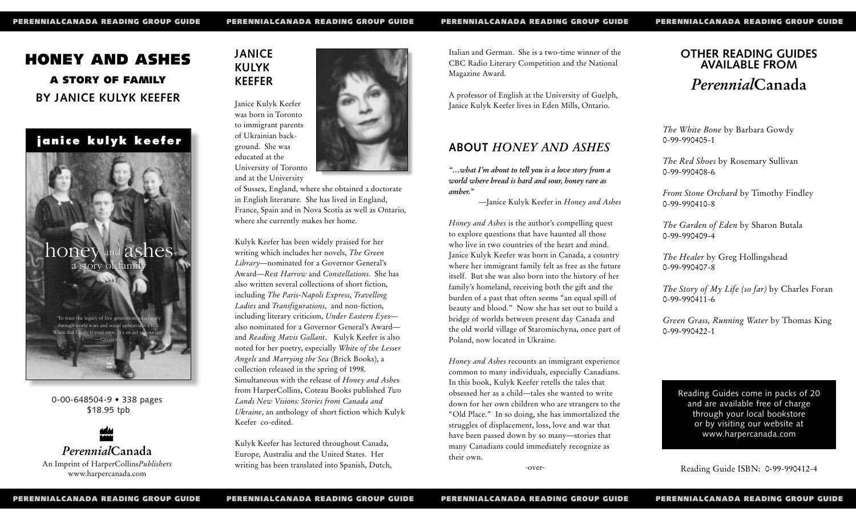# **HONEY AND ASHES A STORY OF FAMILY BY JANICE KULYK KEEFER**

**janice kulyk keefer**



0-00-648504-9 • 338 pages \$18.95 tpb



# **JANICE KULYK KEEFER**



and at the University

of Sussex, England, where she obtained a doctorate in English literature. She has lived in England, France, Spain and in Nova Scotia as well as Ontario, where she currently makes her home.

Kulyk Keefer has been widely praised for her writing which includes her novels, *The Green Library*—nominated for a Governor General's Award—*Rest Harrow* and *Constellations*. She has also written several collections of short fiction, including *The Paris-Napoli Express*, *Travelling Ladies* and *Transfigurations*, and non-fiction, including literary criticism, *Under Eastern Eyes* also nominated for a Governor General's Award and *Reading Mavis Gallant*. Kulyk Keefer is also noted for her poetry, especially *White of the Lesser Angels* and *Marrying the Sea* (Brick Books), a collection released in the spring of 1998. Simultaneous with the release of *Honey and Ashe*<sup>s</sup> from HarperCollins, Coteau Books published *Two Lands New Visions: Stories from Canada and Ukraine*, an anthology of short fiction which Kulyk Keefer co-edited.

Kulyk Keefer has lectured throughout Canada, Europe, Australia and the United States. Her writing has been translated into Spanish, Dutch, Italian and German. She is a two-time winner of the CBC Radio Literary Competition and the National Magazine Award.

A professor of English at the University of Guelph, Janice Kulyk Keefer lives in Eden Mills, Ontario.

## **ABOUT** *HONEY AND ASHES*

*"…what I'm about to tell you is a love story from a world where bread is hard and sour, honey rare as amber."*

—Janice Kulyk Keefer in *Honey and Ashes*

*Honey and Ashes* is the author's compelling quest to explore questions that have haunted all those who live in two countries of the heart and mind. Janice Kulyk Keefer was born in Canada, a country where her immigrant family felt as free as the future itself. But she was also born into the history of her family's homeland, receiving both the gift and the burden of a past that often seems "an equal spill of beauty and blood." Now she has set out to build a bridge of worlds between present day Canada and the old world village of Staromischyna, once part of Poland, now located in Ukraine.

*Honey and Ashes* recounts an immigrant experience common to many individuals, especially Canadians. In this book, Kulyk Keefer retells the tales that obsessed her as a child—tales she wanted to write down for her own children who are strangers to the "Old Place." In so doing, she has immortalized the struggles of displacement, loss, love and war that have been passed down by so many—stories that many Canadians could immediately recognize as their own. 0-00-648504-9 • 338 pages<br>
318.95 tph *Landa New Ukraine*, an athology of short fiction which Kulyk<br>
318.95 tph *Ukraine*, an athology of short fiction which Kulyk<br>
<sup>20</sup> *Ukraine*, an athology of short fiction which Kulyk

-over-

# **OTHER READING GUIDES AVAILABLE FROM** *Perennial***Canada**

*The White Bone* by Barbara Gowdy 0-99-990405-1

*The Red Shoes* by Rosemary Sullivan 0-99-990408-6

*From Stone Orchard* by Timothy Findley 0-99-990410-8

*The Garden of Eden* by Sharon Butala 0-99-990409-4

*The Healer* by Greg Hollingshead 0-99-990407-8

*The Story of My Life (so far)* by Charles Foran 0-99-990411-6

*Green Grass, Running Water* by Thomas King 0-99-990422-1